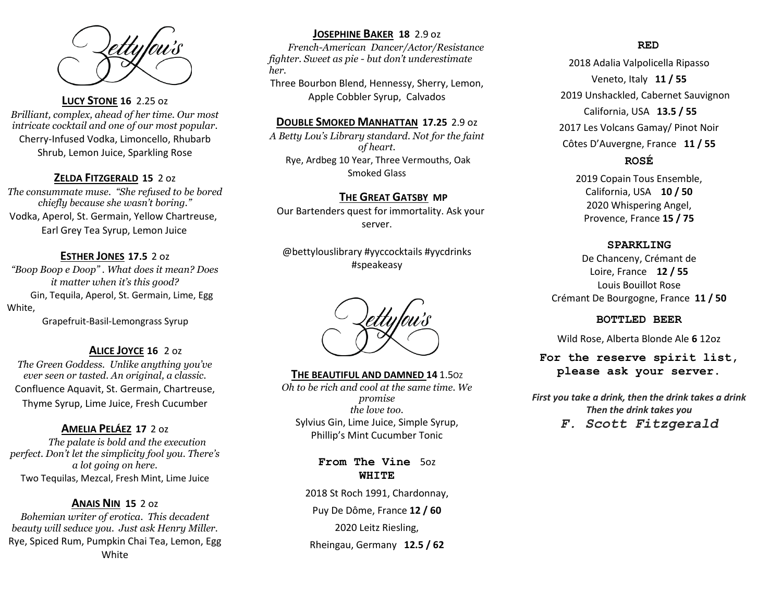

## **LUCY STONE 16** 2.25 oz

*Brilliant, complex, ahead of her time. Our most intricate cocktail and one of our most popular.*  Cherry-Infused Vodka, Limoncello, Rhubarb Shrub, Lemon Juice, Sparkling Rose

## **ZELDA FITZGERALD 15** 2 oz

*The consummate muse. "She refused to be bored chiefly because she wasn't boring."* Vodka, Aperol, St. Germain, Yellow Chartreuse, Earl Grey Tea Syrup, Lemon Juice

## **ESTHER JONES 17.5** 2 oz

*"Boop Boop e Doop" . What does it mean? Does it matter when it's this good?* Gin, Tequila, Aperol, St. Germain, Lime, Egg White,

Grapefruit-Basil-Lemongrass Syrup

## **ALICE JOYCE 16** 2 oz

*The Green Goddess. Unlike anything you've ever seen or tasted. An original, a classic.*  Confluence Aquavit, St. Germain, Chartreuse, Thyme Syrup, Lime Juice, Fresh Cucumber

## **AMELIA PELÁEZ 17** 2 oz

 *The palate is bold and the execution perfect. Don't let the simplicity fool you. There's a lot going on here.* Two Tequilas, Mezcal, Fresh Mint, Lime Juice

## **ANAIS NIN 15** 2 oz

*Bohemian writer of erotica. This decadent beauty will seduce you. Just ask Henry Miller.* Rye, Spiced Rum, Pumpkin Chai Tea, Lemon, Egg White

## **JOSEPHINE BAKER 18** 2.9 oz

 *French-American Dancer/Actor/Resistance fighter. Sweet as pie - but don't underestimate her.* 

Three Bourbon Blend, Hennessy, Sherry, Lemon, Apple Cobbler Syrup, Calvados

### **DOUBLE SMOKED MANHATTAN 17.25** 2.9 oz

*A Betty Lou's Library standard. Not for the faint of heart.* Rye, Ardbeg 10 Year, Three Vermouths, Oak Smoked Glass

## **THE GREAT GATSBY MP**

 Our Bartenders quest for immortality. Ask your server.

@bettylouslibrary #yyccocktails #yycdrinks #speakeasy

**THE BEAUTIFUL AND DAMNED 14** 1.5O<sup>Z</sup> *Oh to be rich and cool at the same time. We promise the love too.* Sylvius Gin, Lime Juice, Simple Syrup, Phillip's Mint Cucumber Tonic

> **From The Vine** 5oz **WHITE**

2018 St Roch 1991, Chardonnay, Puy De Dôme, France **12 / 60** 2020 Leitz Riesling, Rheingau, Germany **12.5 / 62**

#### **RED**

2018 Adalia Valpolicella Ripasso Veneto, Italy **11 / 55** 2019 Unshackled, Cabernet Sauvignon California, USA **13.5 / 55** 2017 Les Volcans Gamay/ Pinot Noir Côtes D'Auvergne, France **11 / 55 ROSÉ**

> 2019 Copain Tous Ensemble, California, USA **10 / 50** 2020 Whispering Angel, Provence, France **15 / 75**

#### **SPARKLING**

De Chanceny, Crémant de Loire, France **12 / 55** Louis Bouillot Rose Crémant De Bourgogne, France **11 / 50**

#### **BOTTLED BEER**

Wild Rose, Alberta Blonde Ale **6** 12oz

## **For the reserve spirit list, please ask your server.**

*First you take a drink, then the drink takes a drink Then the drink takes you*

*F. Scott Fitzgerald*